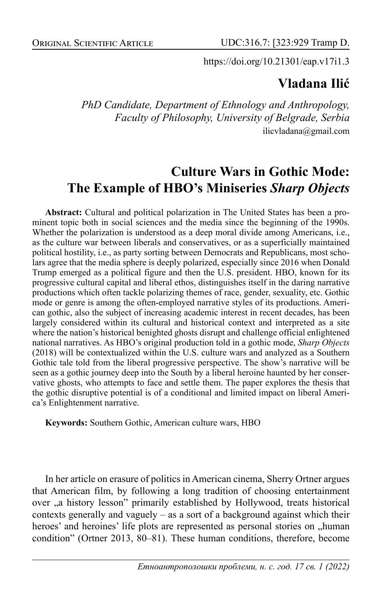https://doi.org/10.21301/eap.v17i1.3

## **Vladana Ilić**

*PhD Candidate, Department of Ethnology and Anthropology, Faculty of Philosophy, University of Belgrade, Serbia* ilicvladana@gmail.com

# **Culture Wars in Gothic Mode: The Example of HBO's Miniseries** *Sharp Objects*

**Abstract:** Cultural and political polarization in The United States has been a prominent topic both in social sciences and the media since the beginning of the 1990s. Whether the polarization is understood as a deep moral divide among Americans, i.e., as the culture war between liberals and conservatives, or as a superficially maintained political hostility, i.e., as party sorting between Democrats and Republicans, most scholars agree that the media sphere is deeply polarized, especially since 2016 when Donald Trump emerged as a political figure and then the U.S. president. HBO, known for its progressive cultural capital and liberal ethos, distinguishes itself in the daring narrative productions which often tackle polarizing themes of race, gender, sexuality, etc. Gothic mode or genre is among the often-employed narrative styles of its productions. American gothic, also the subject of increasing academic interest in recent decades, has been largely considered within its cultural and historical context and interpreted as a site where the nation's historical benighted ghosts disrupt and challenge official enlightened national narratives. As HBO's original production told in a gothic mode, *Sharp Objects*  (2018) will be contextualized within the U.S. culture wars and analyzed as a Southern Gothic tale told from the liberal progressive perspective. The show's narrative will be seen as a gothic journey deep into the South by a liberal heroine haunted by her conservative ghosts, who attempts to face and settle them. The paper explores the thesis that the gothic disruptive potential is of a conditional and limited impact on liberal America's Enlightenment narrative.

**Keywords:** Southern Gothic, American culture wars, HBO

In her article on erasure of politics in American cinema, Sherry Ortner argues that American film, by following a long tradition of choosing entertainment over "a history lesson" primarily established by Hollywood, treats historical contexts generally and vaguely – as a sort of a background against which their heroes' and heroines' life plots are represented as personal stories on "human condition" (Ortner 2013, 80–81). These human conditions, therefore, become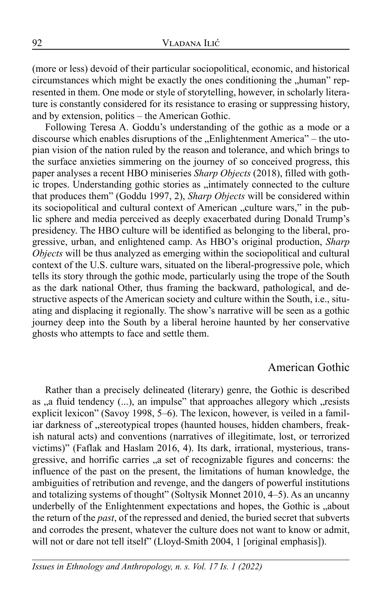(more or less) devoid of their particular sociopolitical, economic, and historical circumstances which might be exactly the ones conditioning the "human" represented in them. One mode or style of storytelling, however, in scholarly literature is constantly considered for its resistance to erasing or suppressing history, and by extension, politics – the American Gothic.

Following Teresa A. Goddu's understanding of the gothic as a mode or a discourse which enables disruptions of the "Enlightenment America" – the utopian vision of the nation ruled by the reason and tolerance, and which brings to the surface anxieties simmering on the journey of so conceived progress, this paper analyses a recent HBO miniseries *Sharp Objects* (2018), filled with gothic tropes. Understanding gothic stories as "intimately connected to the culture that produces them" (Goddu 1997, 2), *Sharp Objects* will be considered within its sociopolitical and cultural context of American "culture wars," in the public sphere and media perceived as deeply exacerbated during Donald Trump's presidency. The HBO culture will be identified as belonging to the liberal, progressive, urban, and enlightened camp. As HBO's original production, *Sharp Objects* will be thus analyzed as emerging within the sociopolitical and cultural context of the U.S. culture wars, situated on the liberal-progressive pole, which tells its story through the gothic mode, particularly using the trope of the South as the dark national Other, thus framing the backward, pathological, and destructive aspects of the American society and culture within the South, i.e., situating and displacing it regionally. The show's narrative will be seen as a gothic journey deep into the South by a liberal heroine haunted by her conservative ghosts who attempts to face and settle them.

#### American Gothic

Rather than a precisely delineated (literary) genre, the Gothic is described as ,,a fluid tendency (...), an impulse" that approaches allegory which ..resists explicit lexicon" (Savoy 1998, 5–6). The lexicon, however, is veiled in a familiar darkness of "stereotypical tropes (haunted houses, hidden chambers, freakish natural acts) and conventions (narratives of illegitimate, lost, or terrorized victims)" (Faflak and Haslam 2016, 4). Its dark, irrational, mysterious, transgressive, and horrific carries "a set of recognizable figures and concerns: the influence of the past on the present, the limitations of human knowledge, the ambiguities of retribution and revenge, and the dangers of powerful institutions and totalizing systems of thought" (Soltysik Monnet 2010, 4–5). As an uncanny underbelly of the Enlightenment expectations and hopes, the Gothic is "about the return of the *past*, of the repressed and denied, the buried secret that subverts and corrodes the present, whatever the culture does not want to know or admit, will not or dare not tell itself" (Lloyd-Smith 2004, 1 [original emphasis]).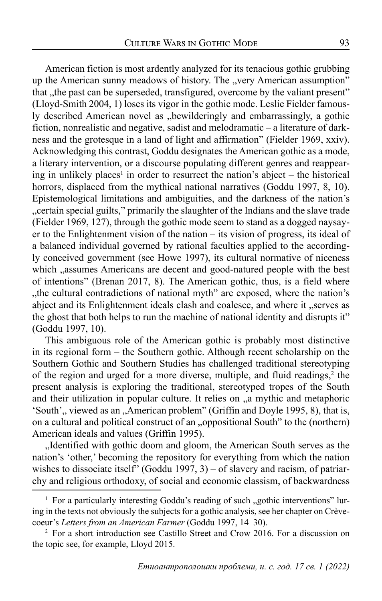American fiction is most ardently analyzed for its tenacious gothic grubbing up the American sunny meadows of history. The "very American assumption" that , the past can be superseded, transfigured, overcome by the valiant present" (Lloyd-Smith 2004, 1) loses its vigor in the gothic mode. Leslie Fielder famously described American novel as "bewilderingly and embarrassingly, a gothic fiction, nonrealistic and negative, sadist and melodramatic – a literature of darkness and the grotesque in a land of light and affirmation" (Fielder 1969, xxiv). Acknowledging this contrast, Goddu designates the American gothic as a mode, a literary intervention, or a discourse populating different genres and reappearing in unlikely places<sup>1</sup> in order to resurrect the nation's abject  $-$  the historical horrors, displaced from the mythical national narratives (Goddu 1997, 8, 10). Epistemological limitations and ambiguities, and the darkness of the nation's "certain special guilts," primarily the slaughter of the Indians and the slave trade (Fielder 1969, 127), through the gothic mode seem to stand as a dogged naysayer to the Enlightenment vision of the nation – its vision of progress, its ideal of a balanced individual governed by rational faculties applied to the accordingly conceived government (see Howe 1997), its cultural normative of niceness which "assumes Americans are decent and good-natured people with the best of intentions" (Brenan 2017, 8). The American gothic, thus, is a field where "the cultural contradictions of national myth" are exposed, where the nation's abject and its Enlightenment ideals clash and coalesce, and where it "serves as the ghost that both helps to run the machine of national identity and disrupts it" (Goddu 1997, 10).

This ambiguous role of the American gothic is probably most distinctive in its regional form – the Southern gothic. Although recent scholarship on the Southern Gothic and Southern Studies has challenged traditional stereotyping of the region and urged for a more diverse, multiple, and fluid readings, $2$  the present analysis is exploring the traditional, stereotyped tropes of the South and their utilization in popular culture. It relies on "a mythic and metaphoric 'South', viewed as an "American problem" (Griffin and Doyle 1995, 8), that is, on a cultural and political construct of an "oppositional South" to the (northern) American ideals and values (Griffin 1995).

"Identified with gothic doom and gloom, the American South serves as the nation's 'other,' becoming the repository for everything from which the nation wishes to dissociate itself" (Goddu 1997, 3) – of slavery and racism, of patriarchy and religious orthodoxy, of social and economic classism, of backwardness

<sup>&</sup>lt;sup>1</sup> For a particularly interesting Goddu's reading of such "gothic interventions" luring in the texts not obviously the subjects for a gothic analysis, see her chapter on Crèvecoeur's *Letters from an American Farmer* (Goddu 1997, 14–30). 2

<sup>&</sup>lt;sup>2</sup> For a short introduction see Castillo Street and Crow 2016. For a discussion on the topic see, for example, Lloyd 2015.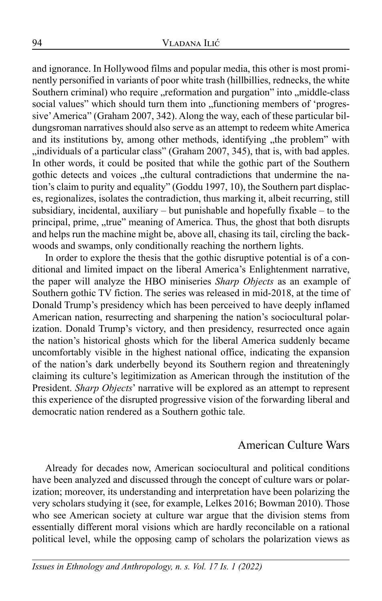and ignorance. In Hollywood films and popular media, this other is most prominently personified in variants of poor white trash (hillbillies, rednecks, the white Southern criminal) who require "reformation and purgation" into "middle-class social values" which should turn them into "functioning members of 'progressive' America" (Graham 2007, 342). Along the way, each of these particular bildungsroman narratives should also serve as an attempt to redeem white America and its institutions by, among other methods, identifying "the problem" with ,,individuals of a particular class" (Graham 2007, 345), that is, with bad apples. In other words, it could be posited that while the gothic part of the Southern gothic detects and voices "the cultural contradictions that undermine the nation's claim to purity and equality" (Goddu 1997, 10), the Southern part displaces, regionalizes, isolates the contradiction, thus marking it, albeit recurring, still subsidiary, incidental, auxiliary – but punishable and hopefully fixable – to the principal, prime, "true" meaning of America. Thus, the ghost that both disrupts and helps run the machine might be, above all, chasing its tail, circling the backwoods and swamps, only conditionally reaching the northern lights.

In order to explore the thesis that the gothic disruptive potential is of a conditional and limited impact on the liberal America's Enlightenment narrative, the paper will analyze the HBO miniseries *Sharp Objects* as an example of Southern gothic TV fiction. The series was released in mid-2018, at the time of Donald Trump's presidency which has been perceived to have deeply inflamed American nation, resurrecting and sharpening the nation's sociocultural polarization. Donald Trump's victory, and then presidency, resurrected once again the nation's historical ghosts which for the liberal America suddenly became uncomfortably visible in the highest national office, indicating the expansion of the nation's dark underbelly beyond its Southern region and threateningly claiming its culture's legitimization as American through the institution of the President. *Sharp Objects*' narrative will be explored as an attempt to represent this experience of the disrupted progressive vision of the forwarding liberal and democratic nation rendered as a Southern gothic tale.

### American Culture Wars

Already for decades now, American sociocultural and political conditions have been analyzed and discussed through the concept of culture wars or polarization; moreover, its understanding and interpretation have been polarizing the very scholars studying it (see, for example, Lelkes 2016; Bowman 2010). Those who see American society at culture war argue that the division stems from essentially different moral visions which are hardly reconcilable on a rational political level, while the opposing camp of scholars the polarization views as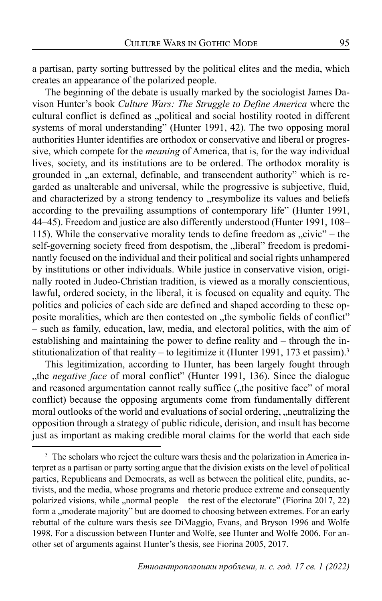a partisan, party sorting buttressed by the political elites and the media, which creates an appearance of the polarized people.

The beginning of the debate is usually marked by the sociologist James Davison Hunter's book *Culture Wars: The Struggle to Define America* where the cultural conflict is defined as "political and social hostility rooted in different systems of moral understanding" (Hunter 1991, 42). The two opposing moral authorities Hunter identifies are orthodox or conservative and liberal or progressive, which compete for the *meaning* of America, that is, for the way individual lives, society, and its institutions are to be ordered. The orthodox morality is grounded in "an external, definable, and transcendent authority" which is regarded as unalterable and universal, while the progressive is subjective, fluid, and characterized by a strong tendency to "resymbolize its values and beliefs according to the prevailing assumptions of contemporary life" (Hunter 1991, 44–45). Freedom and justice are also differently understood (Hunter 1991, 108– 115). While the conservative morality tends to define freedom as  $,$ civic" – the self-governing society freed from despotism, the "liberal" freedom is predominantly focused on the individual and their political and social rights unhampered by institutions or other individuals. While justice in conservative vision, originally rooted in Judeo-Christian tradition, is viewed as a morally conscientious, lawful, ordered society, in the liberal, it is focused on equality and equity. The politics and policies of each side are defined and shaped according to these opposite moralities, which are then contested on "the symbolic fields of conflict" – such as family, education, law, media, and electoral politics, with the aim of establishing and maintaining the power to define reality and – through the institutionalization of that reality – to legitimize it (Hunter 1991, 173 et passim).<sup>3</sup>

This legitimization, according to Hunter, has been largely fought through "the *negative face* of moral conflict" (Hunter 1991, 136). Since the dialogue and reasoned argumentation cannot really suffice ("the positive face" of moral conflict) because the opposing arguments come from fundamentally different moral outlooks of the world and evaluations of social ordering, "neutralizing the opposition through a strategy of public ridicule, derision, and insult has become just as important as making credible moral claims for the world that each side

<sup>&</sup>lt;sup>3</sup> The scholars who reject the culture wars thesis and the polarization in America interpret as a partisan or party sorting argue that the division exists on the level of political parties, Republicans and Democrats, as well as between the political elite, pundits, activists, and the media, whose programs and rhetoric produce extreme and consequently polarized visions, while "normal people – the rest of the electorate" (Fiorina 2017, 22) form a ,,moderate majority" but are doomed to choosing between extremes. For an early rebuttal of the culture wars thesis see DiMaggio, Evans, and Bryson 1996 and Wolfe 1998. For a discussion between Hunter and Wolfe, see Hunter and Wolfe 2006. For another set of arguments against Hunter's thesis, see Fiorina 2005, 2017.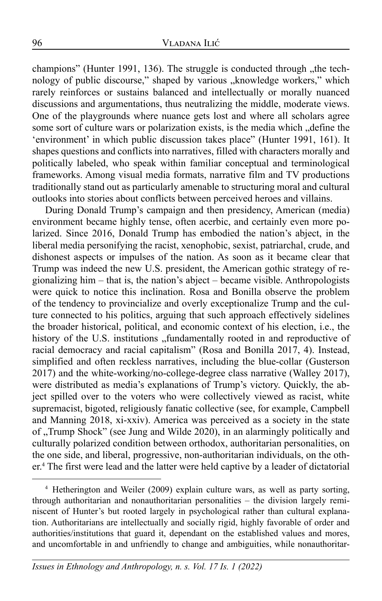champions" (Hunter 1991, 136). The struggle is conducted through "the technology of public discourse," shaped by various "knowledge workers," which rarely reinforces or sustains balanced and intellectually or morally nuanced discussions and argumentations, thus neutralizing the middle, moderate views. One of the playgrounds where nuance gets lost and where all scholars agree some sort of culture wars or polarization exists, is the media which "define the 'environment' in which public discussion takes place" (Hunter 1991, 161). It shapes questions and conflicts into narratives, filled with characters morally and politically labeled, who speak within familiar conceptual and terminological frameworks. Among visual media formats, narrative film and TV productions traditionally stand out as particularly amenable to structuring moral and cultural outlooks into stories about conflicts between perceived heroes and villains.

During Donald Trump's campaign and then presidency, American (media) environment became highly tense, often acerbic, and certainly even more polarized. Since 2016, Donald Trump has embodied the nation's abject, in the liberal media personifying the racist, xenophobic, sexist, patriarchal, crude, and dishonest aspects or impulses of the nation. As soon as it became clear that Trump was indeed the new U.S. president, the American gothic strategy of regionalizing him – that is, the nation's abject – became visible. Anthropologists were quick to notice this inclination. Rosa and Bonilla observe the problem of the tendency to provincialize and overly exceptionalize Trump and the culture connected to his politics, arguing that such approach effectively sidelines the broader historical, political, and economic context of his election, i.e., the history of the U.S. institutions "fundamentally rooted in and reproductive of racial democracy and racial capitalism" (Rosa and Bonilla 2017, 4). Instead, simplified and often reckless narratives, including the blue-collar (Gusterson 2017) and the white-working/no-college-degree class narrative (Walley 2017), were distributed as media's explanations of Trump's victory. Quickly, the abject spilled over to the voters who were collectively viewed as racist, white supremacist, bigoted, religiously fanatic collective (see, for example, Campbell and Manning 2018, xi-xxiv). America was perceived as a society in the state of "Trump Shock" (see Jung and Wilde 2020), in an alarmingly politically and culturally polarized condition between orthodox, authoritarian personalities, on the one side, and liberal, progressive, non-authoritarian individuals, on the other.<sup>4</sup> The first were lead and the latter were held captive by a leader of dictatorial

<sup>4</sup> Hetherington and Weiler (2009) explain culture wars, as well as party sorting, through authoritarian and nonauthoritarian personalities – the division largely reminiscent of Hunter's but rooted largely in psychological rather than cultural explanation. Authoritarians are intellectually and socially rigid, highly favorable of order and authorities/institutions that guard it, dependant on the established values and mores, and uncomfortable in and unfriendly to change and ambiguities, while nonauthoritar-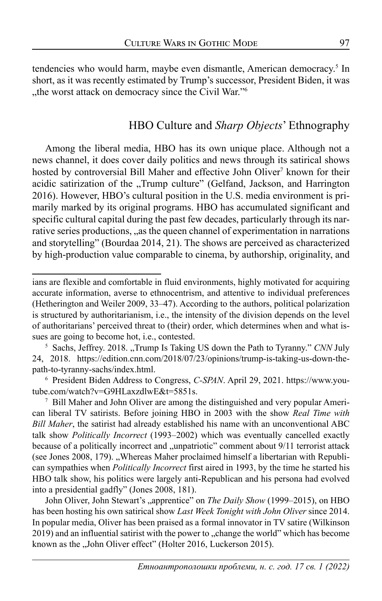tendencies who would harm, maybe even dismantle, American democracy.<sup>5</sup> In short, as it was recently estimated by Trump's successor, President Biden, it was "the worst attack on democracy since the Civil War."<sup>6</sup>

### HBO Culture and *Sharp Objects*' Ethnography

Among the liberal media, HBO has its own unique place. Although not a news channel, it does cover daily politics and news through its satirical shows hosted by controversial Bill Maher and effective John Oliver<sup>7</sup> known for their acidic satirization of the "Trump culture" (Gelfand, Jackson, and Harrington 2016). However, HBO's cultural position in the U.S. media environment is primarily marked by its original programs. HBO has accumulated significant and specific cultural capital during the past few decades, particularly through its narrative series productions, "as the queen channel of experimentation in narrations and storytelling" (Bourdaa 2014, 21). The shows are perceived as characterized by high-production value comparable to cinema, by authorship, originality, and

John Oliver, John Stewart's "apprentice" on *The Daily Show* (1999–2015), on HBO has been hosting his own satirical show *Last Week Tonight with John Oliver* since 2014. In popular media, Oliver has been praised as a formal innovator in TV satire (Wilkinson 2019) and an influential satirist with the power to "change the world" which has become known as the "John Oliver effect" (Holter 2016, Luckerson 2015).

ians are flexible and comfortable in fluid environments, highly motivated for acquiring accurate information, averse to ethnocentrism, and attentive to individual preferences (Hetherington and Weiler 2009, 33–47). According to the authors, political polarization is structured by authoritarianism, i.e., the intensity of the division depends on the level of authoritarians' perceived threat to (their) order, which determines when and what issues are going to become hot, i.e., contested.

<sup>&</sup>lt;sup>5</sup> Sachs, Jeffrey. 2018. "Trump Is Taking US down the Path to Tyranny." *CNN* July 24, 2018. https://edition.cnn.com/2018/07/23/opinions/trump-is-taking-us-down-thepath-to-tyranny-sachs/index.html.

<sup>6</sup> President Biden Address to Congress, *C-SPAN*. April 29, 2021. https://www.youtube.com/watch?v=G9HLaxzdlwE&t=5851s.

<sup>7</sup> Bill Maher and John Oliver are among the distinguished and very popular American liberal TV satirists. Before joining HBO in 2003 with the show *Real Time with Bill Maher*, the satirist had already established his name with an unconventional ABC talk show *Politically Incorrect* (1993–2002) which was eventually cancelled exactly because of a politically incorrect and "unpatriotic" comment about 9/11 terrorist attack (see Jones 2008, 179). "Whereas Maher proclaimed himself a libertarian with Republican sympathies when *Politically Incorrect* first aired in 1993, by the time he started his HBO talk show, his politics were largely anti-Republican and his persona had evolved into a presidential gadfly" (Jones 2008, 181).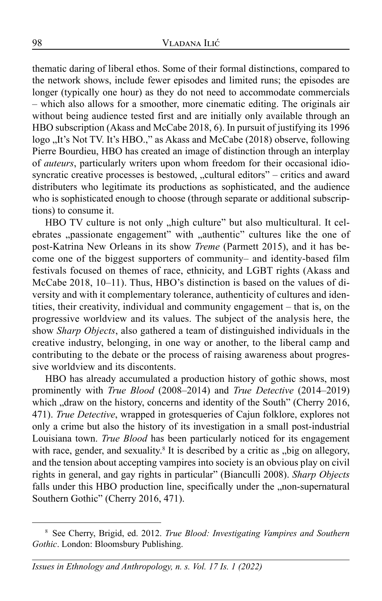thematic daring of liberal ethos. Some of their formal distinctions, compared to the network shows, include fewer episodes and limited runs; the episodes are longer (typically one hour) as they do not need to accommodate commercials – which also allows for a smoother, more cinematic editing. The originals air without being audience tested first and are initially only available through an HBO subscription (Akass and McCabe 2018, 6). In pursuit of justifying its 1996 logo "It's Not TV. It's HBO.," as Akass and McCabe (2018) observe, following Pierre Bourdieu, HBO has created an image of distinction through an interplay of *auteurs*, particularly writers upon whom freedom for their occasional idiosyncratic creative processes is bestowed, "cultural editors" – critics and award distributers who legitimate its productions as sophisticated, and the audience who is sophisticated enough to choose (through separate or additional subscriptions) to consume it.

HBO TV culture is not only "high culture" but also multicultural. It celebrates "passionate engagement" with "authentic" cultures like the one of post-Katrina New Orleans in its show *Treme* (Parmett 2015), and it has become one of the biggest supporters of community– and identity-based film festivals focused on themes of race, ethnicity, and LGBT rights (Akass and McCabe 2018, 10–11). Thus, HBO's distinction is based on the values of diversity and with it complementary tolerance, authenticity of cultures and identities, their creativity, individual and community engagement – that is, on the progressive worldview and its values. The subject of the analysis here, the show *Sharp Objects*, also gathered a team of distinguished individuals in the creative industry, belonging, in one way or another, to the liberal camp and contributing to the debate or the process of raising awareness about progressive worldview and its discontents.

HBO has already accumulated a production history of gothic shows, most prominently with *True Blood* (2008–2014) and *True Detective* (2014–2019) which "draw on the history, concerns and identity of the South" (Cherry 2016, 471). *True Detective*, wrapped in grotesqueries of Cajun folklore, explores not only a crime but also the history of its investigation in a small post-industrial Louisiana town. *True Blood* has been particularly noticed for its engagement with race, gender, and sexuality.<sup>8</sup> It is described by a critic as "big on allegory, and the tension about accepting vampires into society is an obvious play on civil rights in general, and gay rights in particular" (Bianculli 2008). *Sharp Objects* falls under this HBO production line, specifically under the "non-supernatural Southern Gothic" (Cherry 2016, 471).

<sup>8</sup> See Cherry, Brigid, ed. 2012. *True Blood: Investigating Vampires and Southern Gothic*. London: Bloomsbury Publishing.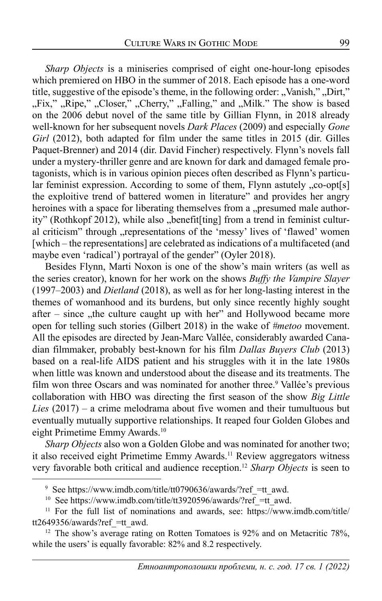*Sharp Objects* is a miniseries comprised of eight one-hour-long episodes which premiered on HBO in the summer of 2018. Each episode has a one-word title, suggestive of the episode's theme, in the following order: "Vanish," "Dirt," "Fix," "Ripe," "Closer," "Cherry," "Falling," and "Milk." The show is based on the 2006 debut novel of the same title by Gillian Flynn, in 2018 already well-known for her subsequent novels *Dark Places* (2009) and especially *Gone Girl* (2012), both adapted for film under the same titles in 2015 (dir. Gilles Paquet-Brenner) and 2014 (dir. David Fincher) respectively. Flynn's novels fall under a mystery-thriller genre and are known for dark and damaged female protagonists, which is in various opinion pieces often described as Flynn's particular feminist expression. According to some of them, Flynn astutely  $C$ ,  $co$ -opt $[s]$ the exploitive trend of battered women in literature" and provides her angry heroines with a space for liberating themselves from a "presumed male authority" (Rothkopf 2012), while also "benefit[ting] from a trend in feminist cultural criticism" through "representations of the 'messy' lives of 'flawed' women [which – the representations] are celebrated as indications of a multifaceted (and maybe even 'radical') portrayal of the gender" (Oyler 2018).

Besides Flynn, Marti Noxon is one of the show's main writers (as well as the series creator), known for her work on the shows *Buffy the Vampire Slayer* (1997–2003) and *Dietland* (2018), as well as for her long-lasting interest in the themes of womanhood and its burdens, but only since recently highly sought after – since  $\theta$ , the culture caught up with her" and Hollywood became more open for telling such stories (Gilbert 2018) in the wake of *#metoo* movement. All the episodes are directed by Jean-Marc Vallée, considerably awarded Canadian filmmaker, probably best-known for his film *Dallas Buyers Club* (2013) based on a real-life AIDS patient and his struggles with it in the late 1980s when little was known and understood about the disease and its treatments. The film won three Oscars and was nominated for another three.<sup>9</sup> Vallée's previous collaboration with HBO was directing the first season of the show *Big Little Lies* (2017) – a crime melodrama about five women and their tumultuous but eventually mutually supportive relationships. It reaped four Golden Globes and eight Primetime Emmy Awards.<sup>10</sup>

*Sharp Objects* also won a Golden Globe and was nominated for another two; it also received eight Primetime Emmy Awards.<sup>11</sup> Review aggregators witness very favorable both critical and audience reception.12 *Sharp Objects* is seen to

<sup>&</sup>lt;sup>9</sup> See https://www.imdb.com/title/tt0790636/awards/?ref\_=tt\_awd.

<sup>&</sup>lt;sup>10</sup> See https://www.imdb.com/title/tt3920596/awards/?ref =tt\_awd.

<sup>&</sup>lt;sup>11</sup> For the full list of nominations and awards, see: https://www.imdb.com/title/ tt2649356/awards?ref\_=tt\_awd. 12 The show's average rating on Rotten Tomatoes is 92% and on Metacritic 78%,

while the users' is equally favorable: 82% and 8.2 respectively.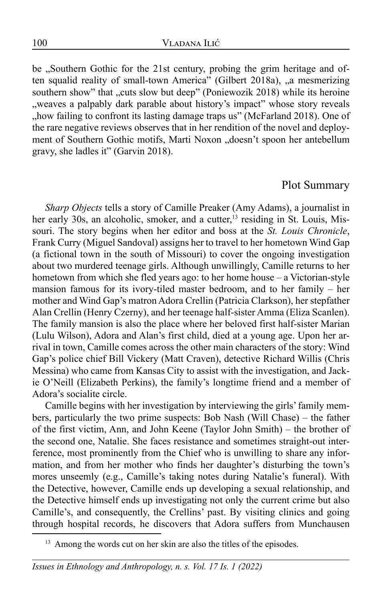be "Southern Gothic for the 21st century, probing the grim heritage and often squalid reality of small-town America" (Gilbert 2018a), "a mesmerizing southern show" that "cuts slow but deep" (Poniewozik 2018) while its heroine "weaves a palpably dark parable about history's impact" whose story reveals "how failing to confront its lasting damage traps us" (McFarland 2018). One of the rare negative reviews observes that in her rendition of the novel and deployment of Southern Gothic motifs, Marti Noxon "doesn't spoon her antebellum gravy, she ladles it" (Garvin 2018).

#### Plot Summary

*Sharp Objects* tells a story of Camille Preaker (Amy Adams), a journalist in her early 30s, an alcoholic, smoker, and a cutter,<sup>13</sup> residing in St. Louis, Missouri. The story begins when her editor and boss at the *St. Louis Chronicle*, Frank Curry (Miguel Sandoval) assigns her to travel to her hometown Wind Gap (a fictional town in the south of Missouri) to cover the ongoing investigation about two murdered teenage girls. Although unwillingly, Camille returns to her hometown from which she fled years ago: to her home house – a Victorian-style mansion famous for its ivory-tiled master bedroom, and to her family – her mother and Wind Gap's matron Adora Crellin (Patricia Clarkson), her stepfather Alan Crellin (Henry Czerny), and her teenage half-sister Amma (Eliza Scanlen). The family mansion is also the place where her beloved first half-sister Marian (Lulu Wilson), Adora and Alan's first child, died at a young age. Upon her arrival in town, Camille comes across the other main characters of the story: Wind Gap's police chief Bill Vickery (Matt Craven), detective Richard Willis (Chris Messina) who came from Kansas City to assist with the investigation, and Jackie O'Neill (Elizabeth Perkins), the family's longtime friend and a member of Adora's socialite circle.

Camille begins with her investigation by interviewing the girls' family members, particularly the two prime suspects: Bob Nash (Will Chase) – the father of the first victim, Ann, and John Keene (Taylor John Smith) – the brother of the second one, Natalie. She faces resistance and sometimes straight-out interference, most prominently from the Chief who is unwilling to share any information, and from her mother who finds her daughter's disturbing the town's mores unseemly (e.g., Camille's taking notes during Natalie's funeral). With the Detective, however, Camille ends up developing a sexual relationship, and the Detective himself ends up investigating not only the current crime but also Camille's, and consequently, the Crellins' past. By visiting clinics and going through hospital records, he discovers that Adora suffers from Munchausen

<sup>&</sup>lt;sup>13</sup> Among the words cut on her skin are also the titles of the episodes.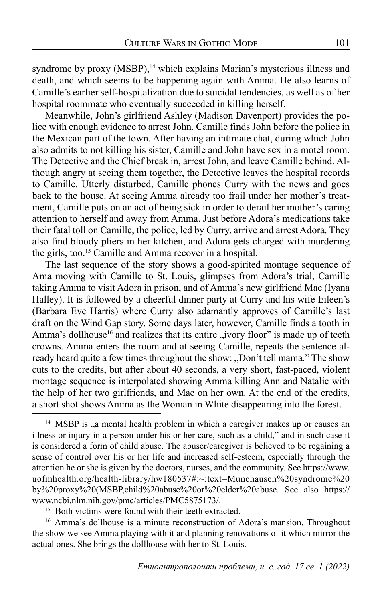syndrome by proxy (MSBP),<sup>14</sup> which explains Marian's mysterious illness and death, and which seems to be happening again with Amma. He also learns of Camille's earlier self-hospitalization due to suicidal tendencies, as well as of her hospital roommate who eventually succeeded in killing herself.

Meanwhile, John's girlfriend Ashley (Madison Davenport) provides the police with enough evidence to arrest John. Camille finds John before the police in the Mexican part of the town. After having an intimate chat, during which John also admits to not killing his sister, Camille and John have sex in a motel room. The Detective and the Chief break in, arrest John, and leave Camille behind. Although angry at seeing them together, the Detective leaves the hospital records to Camille. Utterly disturbed, Camille phones Curry with the news and goes back to the house. At seeing Amma already too frail under her mother's treatment, Camille puts on an act of being sick in order to derail her mother's caring attention to herself and away from Amma. Just before Adora's medications take their fatal toll on Camille, the police, led by Curry, arrive and arrest Adora. They also find bloody pliers in her kitchen, and Adora gets charged with murdering the girls, too.15 Camille and Amma recover in a hospital.

The last sequence of the story shows a good-spirited montage sequence of Ama moving with Camille to St. Louis, glimpses from Adora's trial, Camille taking Amma to visit Adora in prison, and of Amma's new girlfriend Mae (Iyana Halley). It is followed by a cheerful dinner party at Curry and his wife Eileen's (Barbara Eve Harris) where Curry also adamantly approves of Camille's last draft on the Wind Gap story. Some days later, however, Camille finds a tooth in Amma's dollhouse<sup>16</sup> and realizes that its entire "ivory floor" is made up of teeth crowns. Amma enters the room and at seeing Camille, repeats the sentence already heard quite a few times throughout the show: "Don't tell mama." The show cuts to the credits, but after about 40 seconds, a very short, fast-paced, violent montage sequence is interpolated showing Amma killing Ann and Natalie with the help of her two girlfriends, and Mae on her own. At the end of the credits, a short shot shows Amma as the Woman in White disappearing into the forest.

<sup>16</sup> Amma's dollhouse is a minute reconstruction of Adora's mansion. Throughout the show we see Amma playing with it and planning renovations of it which mirror the actual ones. She brings the dollhouse with her to St. Louis.

 $14$  MSBP is  $\mu$  mental health problem in which a caregiver makes up or causes an illness or injury in a person under his or her care, such as a child," and in such case it is considered a form of child abuse. The abuser/caregiver is believed to be regaining a sense of control over his or her life and increased self-esteem, especially through the attention he or she is given by the doctors, nurses, and the community. See https://www. uofmhealth.org/health-library/hw180537#:~:text=Munchausen%20syndrome%20 by%20proxy%20(MSBP,child%20abuse%20or%20elder%20abuse. See also https:// www.ncbi.nlm.nih.gov/pmc/articles/PMC5875173/. 15 Both victims were found with their teeth extracted.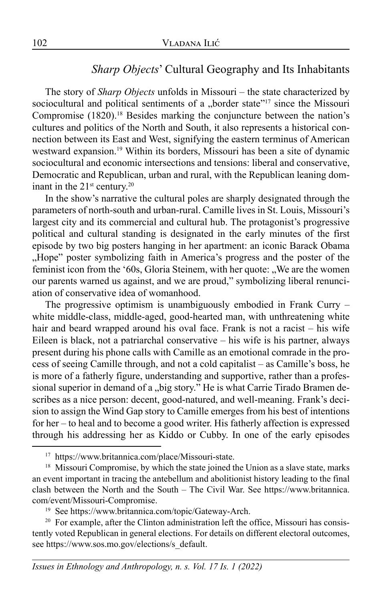### *Sharp Objects*' Cultural Geography and Its Inhabitants

The story of *Sharp Objects* unfolds in Missouri – the state characterized by sociocultural and political sentiments of a "border state"<sup>17</sup> since the Missouri Compromise  $(1820)$ .<sup>18</sup> Besides marking the conjuncture between the nation's cultures and politics of the North and South, it also represents a historical connection between its East and West, signifying the eastern terminus of American westward expansion.19 Within its borders, Missouri has been a site of dynamic sociocultural and economic intersections and tensions: liberal and conservative, Democratic and Republican, urban and rural, with the Republican leaning dominant in the  $21<sup>st</sup>$  century.<sup>20</sup>

In the show's narrative the cultural poles are sharply designated through the parameters of north-south and urban-rural. Camille lives in St. Louis, Missouri's largest city and its commercial and cultural hub. The protagonist's progressive political and cultural standing is designated in the early minutes of the first episode by two big posters hanging in her apartment: an iconic Barack Obama "Hope" poster symbolizing faith in America's progress and the poster of the feminist icon from the '60s, Gloria Steinem, with her quote: "We are the women our parents warned us against, and we are proud," symbolizing liberal renunciation of conservative idea of womanhood.

The progressive optimism is unambiguously embodied in Frank Curry – white middle-class, middle-aged, good-hearted man, with unthreatening white hair and beard wrapped around his oval face. Frank is not a racist – his wife Eileen is black, not a patriarchal conservative – his wife is his partner, always present during his phone calls with Camille as an emotional comrade in the process of seeing Camille through, and not a cold capitalist – as Camille's boss, he is more of a fatherly figure, understanding and supportive, rather than a professional superior in demand of a "big story." He is what Carrie Tirado Bramen describes as a nice person: decent, good-natured, and well-meaning. Frank's decision to assign the Wind Gap story to Camille emerges from his best of intentions for her – to heal and to become a good writer. His fatherly affection is expressed through his addressing her as Kiddo or Cubby. In one of the early episodes

<sup>17</sup> https://www.britannica.com/place/Missouri-state.

<sup>&</sup>lt;sup>18</sup> Missouri Compromise, by which the state joined the Union as a slave state, marks an event important in tracing the antebellum and abolitionist history leading to the final clash between the North and the South – The Civil War. See https://www.britannica. com/event/Missouri-Compromise.

<sup>19</sup> See https://www.britannica.com/topic/Gateway-Arch.

 $20$  For example, after the Clinton administration left the office, Missouri has consistently voted Republican in general elections. For details on different electoral outcomes, see https://www.sos.mo.gov/elections/s\_default.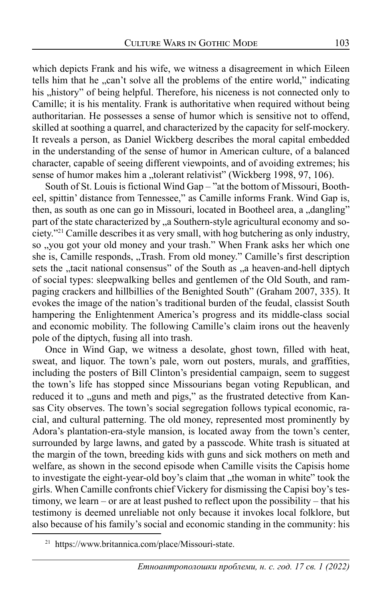which depicts Frank and his wife, we witness a disagreement in which Eileen tells him that he "can't solve all the problems of the entire world," indicating his "history" of being helpful. Therefore, his niceness is not connected only to Camille; it is his mentality. Frank is authoritative when required without being authoritarian. He possesses a sense of humor which is sensitive not to offend, skilled at soothing a quarrel, and characterized by the capacity for self-mockery. It reveals a person, as Daniel Wickberg describes the moral capital embedded in the understanding of the sense of humor in American culture, of a balanced character, capable of seeing different viewpoints, and of avoiding extremes; his sense of humor makes him a "tolerant relativist" (Wickberg 1998, 97, 106).

South of St. Louis is fictional Wind Gap – "at the bottom of Missouri, Bootheel, spittin' distance from Tennessee," as Camille informs Frank. Wind Gap is, then, as south as one can go in Missouri, located in Bootheel area, a "dangling" part of the state characterized by "a Southern-style agricultural economy and society."21 Camille describes it as very small, with hog butchering as only industry, so , you got your old money and your trash." When Frank asks her which one she is, Camille responds, "Trash. From old money." Camille's first description sets the "tacit national consensus" of the South as "a heaven-and-hell diptych of social types: sleepwalking belles and gentlemen of the Old South, and rampaging crackers and hillbillies of the Benighted South" (Graham 2007, 335). It evokes the image of the nation's traditional burden of the feudal, classist South hampering the Enlightenment America's progress and its middle-class social and economic mobility. The following Camille's claim irons out the heavenly pole of the diptych, fusing all into trash.

Once in Wind Gap, we witness a desolate, ghost town, filled with heat, sweat, and liquor. The town's pale, worn out posters, murals, and graffities, including the posters of Bill Clinton's presidential campaign, seem to suggest the town's life has stopped since Missourians began voting Republican, and reduced it to "guns and meth and pigs," as the frustrated detective from Kansas City observes. The town's social segregation follows typical economic, racial, and cultural patterning. The old money, represented most prominently by Adora's plantation-era-style mansion, is located away from the town's center, surrounded by large lawns, and gated by a passcode. White trash is situated at the margin of the town, breeding kids with guns and sick mothers on meth and welfare, as shown in the second episode when Camille visits the Capisis home to investigate the eight-year-old boy's claim that "the woman in white" took the girls. When Camille confronts chief Vickery for dismissing the Capisi boy's testimony, we learn – or are at least pushed to reflect upon the possibility – that his testimony is deemed unreliable not only because it invokes local folklore, but also because of his family's social and economic standing in the community: his

<sup>21</sup> https://www.britannica.com/place/Missouri-state.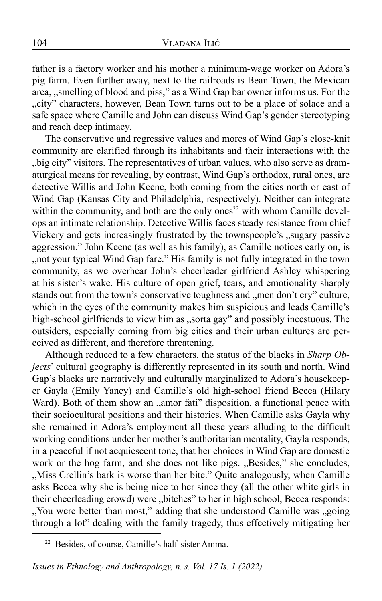father is a factory worker and his mother a minimum-wage worker on Adora's pig farm. Even further away, next to the railroads is Bean Town, the Mexican area, "smelling of blood and piss," as a Wind Gap bar owner informs us. For the "city" characters, however, Bean Town turns out to be a place of solace and a safe space where Camille and John can discuss Wind Gap's gender stereotyping and reach deep intimacy.

The conservative and regressive values and mores of Wind Gap's close-knit community are clarified through its inhabitants and their interactions with the "big city" visitors. The representatives of urban values, who also serve as dramaturgical means for revealing, by contrast, Wind Gap's orthodox, rural ones, are detective Willis and John Keene, both coming from the cities north or east of Wind Gap (Kansas City and Philadelphia, respectively). Neither can integrate within the community, and both are the only ones $22$  with whom Camille develops an intimate relationship. Detective Willis faces steady resistance from chief Vickery and gets increasingly frustrated by the townspeople's ,, sugary passive aggression." John Keene (as well as his family), as Camille notices early on, is ", not your typical Wind Gap fare." His family is not fully integrated in the town community, as we overhear John's cheerleader girlfriend Ashley whispering at his sister's wake. His culture of open grief, tears, and emotionality sharply stands out from the town's conservative toughness and "men don't cry" culture, which in the eyes of the community makes him suspicious and leads Camille's high-school girlfriends to view him as "sorta gay" and possibly incestuous. The outsiders, especially coming from big cities and their urban cultures are perceived as different, and therefore threatening.

Although reduced to a few characters, the status of the blacks in *Sharp Objects*' cultural geography is differently represented in its south and north. Wind Gap's blacks are narratively and culturally marginalized to Adora's housekeeper Gayla (Emily Yancy) and Camille's old high-school friend Becca (Hilary Ward). Both of them show an "amor fati" disposition, a functional peace with their sociocultural positions and their histories. When Camille asks Gayla why she remained in Adora's employment all these years alluding to the difficult working conditions under her mother's authoritarian mentality, Gayla responds, in a peaceful if not acquiescent tone, that her choices in Wind Gap are domestic work or the hog farm, and she does not like pigs. "Besides," she concludes, "Miss Crellin's bark is worse than her bite." Quite analogously, when Camille asks Becca why she is being nice to her since they (all the other white girls in their cheerleading crowd) were "bitches" to her in high school, Becca responds: ", You were better than most," adding that she understood Camille was "going", through a lot" dealing with the family tragedy, thus effectively mitigating her

<sup>22</sup> Besides, of course, Camille's half-sister Amma.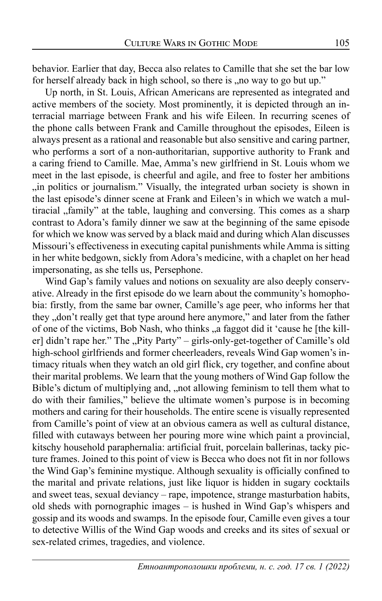behavior. Earlier that day, Becca also relates to Camille that she set the bar low for herself already back in high school, so there is , no way to go but up."

Up north, in St. Louis, African Americans are represented as integrated and active members of the society. Most prominently, it is depicted through an interracial marriage between Frank and his wife Eileen. In recurring scenes of the phone calls between Frank and Camille throughout the episodes, Eileen is always present as a rational and reasonable but also sensitive and caring partner, who performs a sort of a non-authoritarian, supportive authority to Frank and a caring friend to Camille. Mae, Amma's new girlfriend in St. Louis whom we meet in the last episode, is cheerful and agile, and free to foster her ambitions ,,in politics or journalism." Visually, the integrated urban society is shown in the last episode's dinner scene at Frank and Eileen's in which we watch a multiracial "family" at the table, laughing and conversing. This comes as a sharp contrast to Adora's family dinner we saw at the beginning of the same episode for which we know was served by a black maid and during which Alan discusses Missouri's effectiveness in executing capital punishments while Amma is sitting in her white bedgown, sickly from Adora's medicine, with a chaplet on her head impersonating, as she tells us, Persephone.

Wind Gap's family values and notions on sexuality are also deeply conservative. Already in the first episode do we learn about the community's homophobia: firstly, from the same bar owner, Camille's age peer, who informs her that they "don't really get that type around here anymore," and later from the father of one of the victims, Bob Nash, who thinks , a faggot did it 'cause he [the killer] didn't rape her." The "Pity Party" – girls-only-get-together of Camille's old high-school girlfriends and former cheerleaders, reveals Wind Gap women's intimacy rituals when they watch an old girl flick, cry together, and confine about their marital problems. We learn that the young mothers of Wind Gap follow the Bible's dictum of multiplying and, ,,not allowing feminism to tell them what to do with their families," believe the ultimate women's purpose is in becoming mothers and caring for their households. The entire scene is visually represented from Camille's point of view at an obvious camera as well as cultural distance, filled with cutaways between her pouring more wine which paint a provincial, kitschy household paraphernalia: artificial fruit, porcelain ballerinas, tacky picture frames. Joined to this point of view is Becca who does not fit in nor follows the Wind Gap's feminine mystique. Although sexuality is officially confined to the marital and private relations, just like liquor is hidden in sugary cocktails and sweet teas, sexual deviancy – rape, impotence, strange masturbation habits, old sheds with pornographic images – is hushed in Wind Gap's whispers and gossip and its woods and swamps. In the episode four, Camille even gives a tour to detective Willis of the Wind Gap woods and creeks and its sites of sexual or sex-related crimes, tragedies, and violence.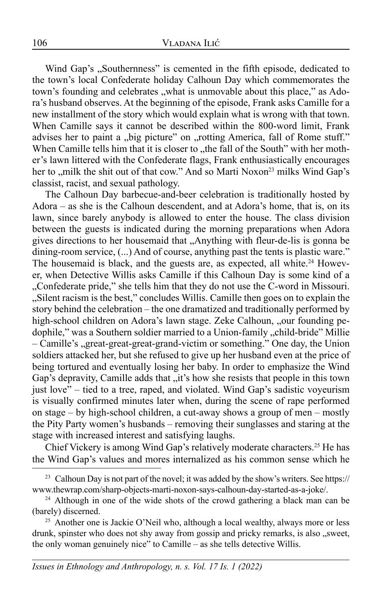Wind Gap's "Southernness" is cemented in the fifth episode, dedicated to the town's local Confederate holiday Calhoun Day which commemorates the town's founding and celebrates , what is unmovable about this place," as Adora's husband observes. At the beginning of the episode, Frank asks Camille for a new installment of the story which would explain what is wrong with that town. When Camille says it cannot be described within the 800-word limit, Frank advises her to paint a "big picture" on "rotting America, fall of Rome stuff." When Camille tells him that it is closer to "the fall of the South" with her mother's lawn littered with the Confederate flags, Frank enthusiastically encourages her to "milk the shit out of that cow." And so Marti Noxon<sup>23</sup> milks Wind Gap's classist, racist, and sexual pathology.

The Calhoun Day barbecue-and-beer celebration is traditionally hosted by Adora – as she is the Calhoun descendent, and at Adora's home, that is, on its lawn, since barely anybody is allowed to enter the house. The class division between the guests is indicated during the morning preparations when Adora gives directions to her housemaid that "Anything with fleur-de-lis is gonna be dining-room service,  $(...)$  And of course, anything past the tents is plastic ware." The housemaid is black, and the guests are, as expected, all white.<sup>24</sup> However, when Detective Willis asks Camille if this Calhoun Day is some kind of a "Confederate pride," she tells him that they do not use the C-word in Missouri. "Silent racism is the best," concludes Willis. Camille then goes on to explain the story behind the celebration – the one dramatized and traditionally performed by high-school children on Adora's lawn stage. Zeke Calhoun, "our founding pedophile," was a Southern soldier married to a Union-family "child-bride" Millie – Camille's "great-great-great-grand-victim or something." One day, the Union soldiers attacked her, but she refused to give up her husband even at the price of being tortured and eventually losing her baby. In order to emphasize the Wind Gap's depravity, Camille adds that "it's how she resists that people in this town just love" – tied to a tree, raped, and violated. Wind Gap's sadistic voyeurism is visually confirmed minutes later when, during the scene of rape performed on stage – by high-school children, a cut-away shows a group of men – mostly the Pity Party women's husbands – removing their sunglasses and staring at the stage with increased interest and satisfying laughs.

Chief Vickery is among Wind Gap's relatively moderate characters.25 He has the Wind Gap's values and mores internalized as his common sense which he

<sup>25</sup> Another one is Jackie O'Neil who, although a local wealthy, always more or less drunk, spinster who does not shy away from gossip and pricky remarks, is also "sweet, the only woman genuinely nice" to Camille – as she tells detective Willis.

<sup>&</sup>lt;sup>23</sup> Calhoun Day is not part of the novel; it was added by the show's writers. See https:// www.thewrap.com/sharp-objects-marti-noxon-says-calhoun-day-started-as-a-joke/.

<sup>&</sup>lt;sup>24</sup> Although in one of the wide shots of the crowd gathering a black man can be (barely) discerned.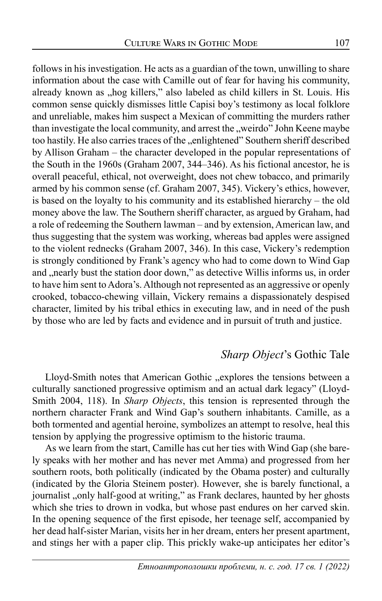follows in his investigation. He acts as a guardian of the town, unwilling to share information about the case with Camille out of fear for having his community, already known as "hog killers," also labeled as child killers in St. Louis. His common sense quickly dismisses little Capisi boy's testimony as local folklore and unreliable, makes him suspect a Mexican of committing the murders rather than investigate the local community, and arrest the "weirdo" John Keene maybe too hastily. He also carries traces of the "enlightened" Southern sheriff described by Allison Graham – the character developed in the popular representations of the South in the 1960s (Graham 2007, 344–346). As his fictional ancestor, he is overall peaceful, ethical, not overweight, does not chew tobacco, and primarily armed by his common sense (cf. Graham 2007, 345). Vickery's ethics, however, is based on the loyalty to his community and its established hierarchy – the old money above the law. The Southern sheriff character, as argued by Graham, had a role of redeeming the Southern lawman – and by extension, American law, and thus suggesting that the system was working, whereas bad apples were assigned to the violent rednecks (Graham 2007, 346). In this case, Vickery's redemption is strongly conditioned by Frank's agency who had to come down to Wind Gap and "nearly bust the station door down," as detective Willis informs us, in order to have him sent to Adora's. Although not represented as an aggressive or openly crooked, tobacco-chewing villain, Vickery remains a dispassionately despised character, limited by his tribal ethics in executing law, and in need of the push by those who are led by facts and evidence and in pursuit of truth and justice.

### *Sharp Object*'s Gothic Tale

Lloyd-Smith notes that American Gothic "explores the tensions between a culturally sanctioned progressive optimism and an actual dark legacy" (Lloyd-Smith 2004, 118). In *Sharp Objects*, this tension is represented through the northern character Frank and Wind Gap's southern inhabitants. Camille, as a both tormented and agential heroine, symbolizes an attempt to resolve, heal this tension by applying the progressive optimism to the historic trauma.

As we learn from the start, Camille has cut her ties with Wind Gap (she barely speaks with her mother and has never met Amma) and progressed from her southern roots, both politically (indicated by the Obama poster) and culturally (indicated by the Gloria Steinem poster). However, she is barely functional, a journalist "only half-good at writing," as Frank declares, haunted by her ghosts which she tries to drown in vodka, but whose past endures on her carved skin. In the opening sequence of the first episode, her teenage self, accompanied by her dead half-sister Marian, visits her in her dream, enters her present apartment, and stings her with a paper clip. This prickly wake-up anticipates her editor's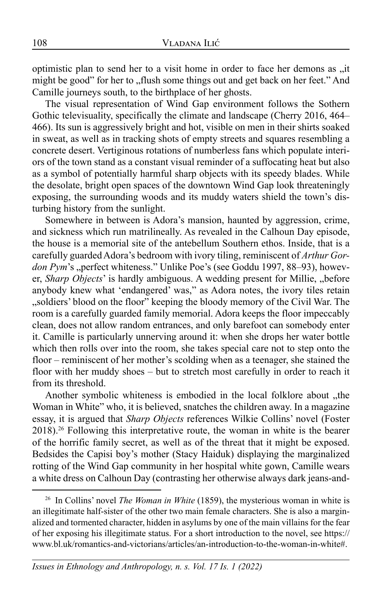optimistic plan to send her to a visit home in order to face her demons as "it might be good" for her to "flush some things out and get back on her feet." And Camille journeys south, to the birthplace of her ghosts.

The visual representation of Wind Gap environment follows the Sothern Gothic televisuality, specifically the climate and landscape (Cherry 2016, 464– 466). Its sun is aggressively bright and hot, visible on men in their shirts soaked in sweat, as well as in tracking shots of empty streets and squares resembling a concrete desert. Vertiginous rotations of numberless fans which populate interiors of the town stand as a constant visual reminder of a suffocating heat but also as a symbol of potentially harmful sharp objects with its speedy blades. While the desolate, bright open spaces of the downtown Wind Gap look threateningly exposing, the surrounding woods and its muddy waters shield the town's disturbing history from the sunlight.

Somewhere in between is Adora's mansion, haunted by aggression, crime, and sickness which run matrilineally. As revealed in the Calhoun Day episode, the house is a memorial site of the antebellum Southern ethos. Inside, that is a carefully guarded Adora's bedroom with ivory tiling, reminiscent of *Arthur Gordon Pym*'s "perfect whiteness." Unlike Poe's (see Goddu 1997, 88–93), however, *Sharp Objects*' is hardly ambiguous. A wedding present for Millie, "before anybody knew what 'endangered' was," as Adora notes, the ivory tiles retain "soldiers' blood on the floor" keeping the bloody memory of the Civil War. The room is a carefully guarded family memorial. Adora keeps the floor impeccably clean, does not allow random entrances, and only barefoot can somebody enter it. Camille is particularly unnerving around it: when she drops her water bottle which then rolls over into the room, she takes special care not to step onto the floor – reminiscent of her mother's scolding when as a teenager, she stained the floor with her muddy shoes – but to stretch most carefully in order to reach it from its threshold.

Another symbolic whiteness is embodied in the local folklore about "the Woman in White" who, it is believed, snatches the children away. In a magazine essay, it is argued that *Sharp Objects* references Wilkie Collins' novel (Foster 2018).26 Following this interpretative route, the woman in white is the bearer of the horrific family secret, as well as of the threat that it might be exposed. Bedsides the Capisi boy's mother (Stacy Haiduk) displaying the marginalized rotting of the Wind Gap community in her hospital white gown, Camille wears a white dress on Calhoun Day (contrasting her otherwise always dark jeans-and-

<sup>26</sup> In Collins' novel *The Woman in White* (1859), the mysterious woman in white is an illegitimate half-sister of the other two main female characters. She is also a marginalized and tormented character, hidden in asylums by one of the main villains for the fear of her exposing his illegitimate status. For a short introduction to the novel, see https:// www.bl.uk/romantics-and-victorians/articles/an-introduction-to-the-woman-in-white#.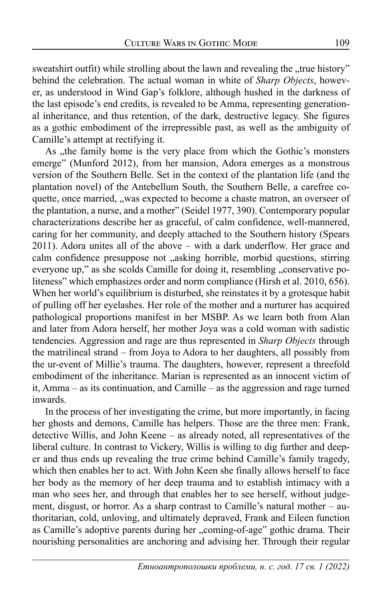sweatshirt outfit) while strolling about the lawn and revealing the "true history" behind the celebration. The actual woman in white of *Sharp Objects*, however, as understood in Wind Gap's folklore, although hushed in the darkness of the last episode's end credits, is revealed to be Amma, representing generational inheritance, and thus retention, of the dark, destructive legacy. She figures as a gothic embodiment of the irrepressible past, as well as the ambiguity of Camille's attempt at rectifying it.

As ,,the family home is the very place from which the Gothic's monsters emerge" (Munford 2012), from her mansion, Adora emerges as a monstrous version of the Southern Belle. Set in the context of the plantation life (and the plantation novel) of the Antebellum South, the Southern Belle, a carefree coquette, once married, "was expected to become a chaste matron, an overseer of the plantation, a nurse, and a mother" (Seidel 1977, 390). Contemporary popular characterizations describe her as graceful, of calm confidence, well-mannered, caring for her community, and deeply attached to the Southern history (Spears 2011). Adora unites all of the above – with a dark underflow. Her grace and calm confidence presuppose not "asking horrible, morbid questions, stirring everyone up," as she scolds Camille for doing it, resembling "conservative politeness" which emphasizes order and norm compliance (Hirsh et al. 2010, 656). When her world's equilibrium is disturbed, she reinstates it by a grotesque habit of pulling off her eyelashes. Her role of the mother and a nurturer has acquired pathological proportions manifest in her MSBP. As we learn both from Alan and later from Adora herself, her mother Joya was a cold woman with sadistic tendencies. Aggression and rage are thus represented in *Sharp Objects* through the matrilineal strand – from Joya to Adora to her daughters, all possibly from the ur-event of Millie's trauma. The daughters, however, represent a threefold embodiment of the inheritance. Marian is represented as an innocent victim of it, Amma – as its continuation, and Camille – as the aggression and rage turned inwards.

In the process of her investigating the crime, but more importantly, in facing her ghosts and demons, Camille has helpers. Those are the three men: Frank, detective Willis, and John Keene – as already noted, all representatives of the liberal culture. In contrast to Vickery, Willis is willing to dig further and deeper and thus ends up revealing the true crime behind Camille's family tragedy, which then enables her to act. With John Keen she finally allows herself to face her body as the memory of her deep trauma and to establish intimacy with a man who sees her, and through that enables her to see herself, without judgement, disgust, or horror. As a sharp contrast to Camille's natural mother – authoritarian, cold, unloving, and ultimately depraved, Frank and Eileen function as Camille's adoptive parents during her "coming-of-age" gothic drama. Their nourishing personalities are anchoring and advising her. Through their regular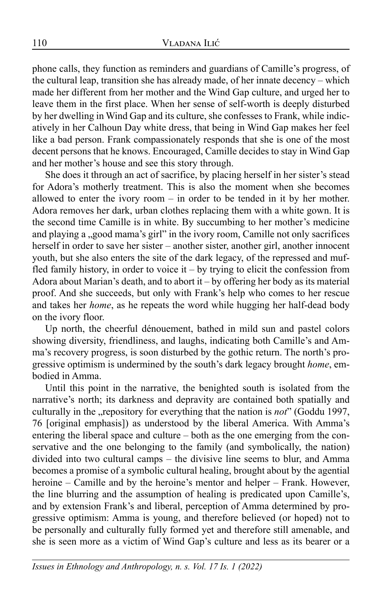phone calls, they function as reminders and guardians of Camille's progress, of the cultural leap, transition she has already made, of her innate decency – which made her different from her mother and the Wind Gap culture, and urged her to leave them in the first place. When her sense of self-worth is deeply disturbed by her dwelling in Wind Gap and its culture, she confesses to Frank, while indicatively in her Calhoun Day white dress, that being in Wind Gap makes her feel like a bad person. Frank compassionately responds that she is one of the most decent persons that he knows. Encouraged, Camille decides to stay in Wind Gap and her mother's house and see this story through.

She does it through an act of sacrifice, by placing herself in her sister's stead for Adora's motherly treatment. This is also the moment when she becomes allowed to enter the ivory room – in order to be tended in it by her mother. Adora removes her dark, urban clothes replacing them with a white gown. It is the second time Camille is in white. By succumbing to her mother's medicine and playing a "good mama's girl" in the ivory room, Camille not only sacrifices herself in order to save her sister – another sister, another girl, another innocent youth, but she also enters the site of the dark legacy, of the repressed and muffled family history, in order to voice it – by trying to elicit the confession from Adora about Marian's death, and to abort it – by offering her body as its material proof. And she succeeds, but only with Frank's help who comes to her rescue and takes her *home*, as he repeats the word while hugging her half-dead body on the ivory floor.

Up north, the cheerful dénouement, bathed in mild sun and pastel colors showing diversity, friendliness, and laughs, indicating both Camille's and Amma's recovery progress, is soon disturbed by the gothic return. The north's progressive optimism is undermined by the south's dark legacy brought *home*, embodied in Amma.

Until this point in the narrative, the benighted south is isolated from the narrative's north; its darkness and depravity are contained both spatially and culturally in the "repository for everything that the nation is *not*" (Goddu 1997, 76 [original emphasis]) as understood by the liberal America. With Amma's entering the liberal space and culture – both as the one emerging from the conservative and the one belonging to the family (and symbolically, the nation) divided into two cultural camps – the divisive line seems to blur, and Amma becomes a promise of a symbolic cultural healing, brought about by the agential heroine – Camille and by the heroine's mentor and helper – Frank. However, the line blurring and the assumption of healing is predicated upon Camille's, and by extension Frank's and liberal, perception of Amma determined by progressive optimism: Amma is young, and therefore believed (or hoped) not to be personally and culturally fully formed yet and therefore still amenable, and she is seen more as a victim of Wind Gap's culture and less as its bearer or a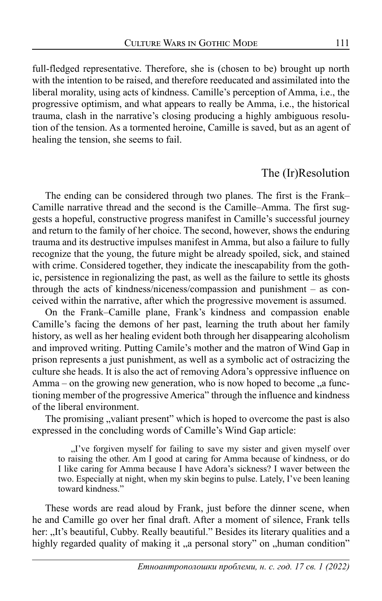full-fledged representative. Therefore, she is (chosen to be) brought up north with the intention to be raised, and therefore reeducated and assimilated into the liberal morality, using acts of kindness. Camille's perception of Amma, i.e., the progressive optimism, and what appears to really be Amma, i.e., the historical trauma, clash in the narrative's closing producing a highly ambiguous resolution of the tension. As a tormented heroine, Camille is saved, but as an agent of healing the tension, she seems to fail.

### The (Ir)Resolution

The ending can be considered through two planes. The first is the Frank– Camille narrative thread and the second is the Camille–Amma. The first suggests a hopeful, constructive progress manifest in Camille's successful journey and return to the family of her choice. The second, however, shows the enduring trauma and its destructive impulses manifest in Amma, but also a failure to fully recognize that the young, the future might be already spoiled, sick, and stained with crime. Considered together, they indicate the inescapability from the gothic, persistence in regionalizing the past, as well as the failure to settle its ghosts through the acts of kindness/niceness/compassion and punishment – as conceived within the narrative, after which the progressive movement is assumed.

On the Frank–Camille plane, Frank's kindness and compassion enable Camille's facing the demons of her past, learning the truth about her family history, as well as her healing evident both through her disappearing alcoholism and improved writing. Putting Camile's mother and the matron of Wind Gap in prison represents a just punishment, as well as a symbolic act of ostracizing the culture she heads. It is also the act of removing Adora's oppressive influence on Amma – on the growing new generation, who is now hoped to become  $\alpha$  functioning member of the progressive America" through the influence and kindness of the liberal environment.

The promising "valiant present" which is hoped to overcome the past is also expressed in the concluding words of Camille's Wind Gap article:

"I've forgiven myself for failing to save my sister and given myself over to raising the other. Am I good at caring for Amma because of kindness, or do I like caring for Amma because I have Adora's sickness? I waver between the two. Especially at night, when my skin begins to pulse. Lately, I've been leaning toward kindness."

These words are read aloud by Frank, just before the dinner scene, when he and Camille go over her final draft. After a moment of silence, Frank tells her: "It's beautiful, Cubby. Really beautiful." Besides its literary qualities and a highly regarded quality of making it "a personal story" on "human condition"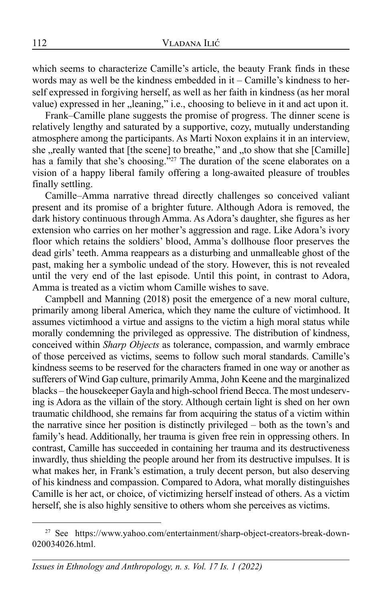which seems to characterize Camille's article, the beauty Frank finds in these words may as well be the kindness embedded in it – Camille's kindness to herself expressed in forgiving herself, as well as her faith in kindness (as her moral value) expressed in her "leaning," i.e., choosing to believe in it and act upon it.

Frank–Camille plane suggests the promise of progress. The dinner scene is relatively lengthy and saturated by a supportive, cozy, mutually understanding atmosphere among the participants. As Marti Noxon explains it in an interview, she , really wanted that [the scene] to breathe," and , to show that she [Camille] has a family that she's choosing."<sup>27</sup> The duration of the scene elaborates on a vision of a happy liberal family offering a long-awaited pleasure of troubles finally settling.

Camille–Amma narrative thread directly challenges so conceived valiant present and its promise of a brighter future. Although Adora is removed, the dark history continuous through Amma. As Adora's daughter, she figures as her extension who carries on her mother's aggression and rage. Like Adora's ivory floor which retains the soldiers' blood, Amma's dollhouse floor preserves the dead girls' teeth. Amma reappears as a disturbing and unmalleable ghost of the past, making her a symbolic undead of the story. However, this is not revealed until the very end of the last episode. Until this point, in contrast to Adora, Amma is treated as a victim whom Camille wishes to save.

Campbell and Manning (2018) posit the emergence of a new moral culture, primarily among liberal America, which they name the culture of victimhood. It assumes victimhood a virtue and assigns to the victim a high moral status while morally condemning the privileged as oppressive. The distribution of kindness, conceived within *Sharp Objects* as tolerance, compassion, and warmly embrace of those perceived as victims, seems to follow such moral standards. Camille's kindness seems to be reserved for the characters framed in one way or another as sufferers of Wind Gap culture, primarily Amma, John Keene and the marginalized blacks – the housekeeper Gayla and high-school friend Becca. The most undeserving is Adora as the villain of the story. Although certain light is shed on her own traumatic childhood, she remains far from acquiring the status of a victim within the narrative since her position is distinctly privileged – both as the town's and family's head. Additionally, her trauma is given free rein in oppressing others. In contrast, Camille has succeeded in containing her trauma and its destructiveness inwardly, thus shielding the people around her from its destructive impulses. It is what makes her, in Frank's estimation, a truly decent person, but also deserving of his kindness and compassion. Compared to Adora, what morally distinguishes Camille is her act, or choice, of victimizing herself instead of others. As a victim herself, she is also highly sensitive to others whom she perceives as victims.

<sup>27</sup> See https://www.yahoo.com/entertainment/sharp-object-creators-break-down-020034026.html.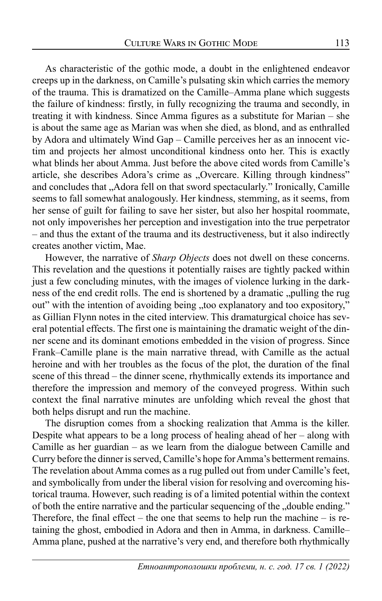As characteristic of the gothic mode, a doubt in the enlightened endeavor creeps up in the darkness, on Camille's pulsating skin which carries the memory of the trauma. This is dramatized on the Camille–Amma plane which suggests the failure of kindness: firstly, in fully recognizing the trauma and secondly, in treating it with kindness. Since Amma figures as a substitute for Marian – she is about the same age as Marian was when she died, as blond, and as enthralled by Adora and ultimately Wind Gap – Camille perceives her as an innocent victim and projects her almost unconditional kindness onto her. This is exactly what blinds her about Amma. Just before the above cited words from Camille's article, she describes Adora's crime as "Overcare. Killing through kindness" and concludes that "Adora fell on that sword spectacularly." Ironically, Camille seems to fall somewhat analogously. Her kindness, stemming, as it seems, from her sense of guilt for failing to save her sister, but also her hospital roommate, not only impoverishes her perception and investigation into the true perpetrator – and thus the extant of the trauma and its destructiveness, but it also indirectly creates another victim, Mae.

However, the narrative of *Sharp Objects* does not dwell on these concerns. This revelation and the questions it potentially raises are tightly packed within just a few concluding minutes, with the images of violence lurking in the darkness of the end credit rolls. The end is shortened by a dramatic "pulling the rug out" with the intention of avoiding being "too explanatory and too expository," as Gillian Flynn notes in the cited interview. This dramaturgical choice has several potential effects. The first one is maintaining the dramatic weight of the dinner scene and its dominant emotions embedded in the vision of progress. Since Frank–Camille plane is the main narrative thread, with Camille as the actual heroine and with her troubles as the focus of the plot, the duration of the final scene of this thread – the dinner scene, rhythmically extends its importance and therefore the impression and memory of the conveyed progress. Within such context the final narrative minutes are unfolding which reveal the ghost that both helps disrupt and run the machine.

The disruption comes from a shocking realization that Amma is the killer. Despite what appears to be a long process of healing ahead of her – along with Camille as her guardian – as we learn from the dialogue between Camille and Curry before the dinner is served, Camille's hope for Amma's betterment remains. The revelation about Amma comes as a rug pulled out from under Camille's feet, and symbolically from under the liberal vision for resolving and overcoming historical trauma. However, such reading is of a limited potential within the context of both the entire narrative and the particular sequencing of the "double ending." Therefore, the final effect – the one that seems to help run the machine – is retaining the ghost, embodied in Adora and then in Amma, in darkness. Camille– Amma plane, pushed at the narrative's very end, and therefore both rhythmically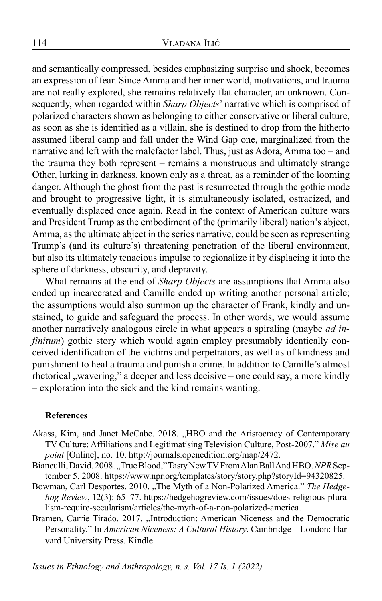and semantically compressed, besides emphasizing surprise and shock, becomes an expression of fear. Since Amma and her inner world, motivations, and trauma are not really explored, she remains relatively flat character, an unknown. Consequently, when regarded within *Sharp Objects*' narrative which is comprised of polarized characters shown as belonging to either conservative or liberal culture, as soon as she is identified as a villain, she is destined to drop from the hitherto assumed liberal camp and fall under the Wind Gap one, marginalized from the narrative and left with the malefactor label. Thus, just as Adora, Amma too – and the trauma they both represent – remains a monstruous and ultimately strange Other, lurking in darkness, known only as a threat, as a reminder of the looming danger. Although the ghost from the past is resurrected through the gothic mode and brought to progressive light, it is simultaneously isolated, ostracized, and eventually displaced once again. Read in the context of American culture wars and President Trump as the embodiment of the (primarily liberal) nation's abject, Amma, as the ultimate abject in the series narrative, could be seen as representing Trump's (and its culture's) threatening penetration of the liberal environment, but also its ultimately tenacious impulse to regionalize it by displacing it into the sphere of darkness, obscurity, and depravity.

What remains at the end of *Sharp Objects* are assumptions that Amma also ended up incarcerated and Camille ended up writing another personal article; the assumptions would also summon up the character of Frank, kindly and unstained, to guide and safeguard the process. In other words, we would assume another narratively analogous circle in what appears a spiraling (maybe *ad infinitum*) gothic story which would again employ presumably identically conceived identification of the victims and perpetrators, as well as of kindness and punishment to heal a trauma and punish a crime. In addition to Camille's almost rhetorical , wavering," a deeper and less decisive – one could say, a more kindly – exploration into the sick and the kind remains wanting.

#### **References**

- Akass, Kim, and Janet McCabe. 2018. "HBO and the Aristocracy of Contemporary TV Culture: Affiliations and Legitimatising Television Culture, Post-2007." *Mise au point* [Online], no. 10. http://journals.openedition.org/map/2472.
- Bianculli, David. 2008., True Blood," Tasty New TV From Alan Ball And HBO. NPR September 5, 2008. https://www.npr.org/templates/story/story.php?storyId=94320825.
- Bowman, Carl Desportes. 2010. "The Myth of a Non-Polarized America." The Hedge*hog Review*, 12(3): 65–77. https://hedgehogreview.com/issues/does-religious-pluralism-require-secularism/articles/the-myth-of-a-non-polarized-america.
- Bramen, Carrie Tirado. 2017. "Introduction: American Niceness and the Democratic Personality." In *American Niceness: A Cultural History*. Cambridge – London: Harvard University Press. Kindle.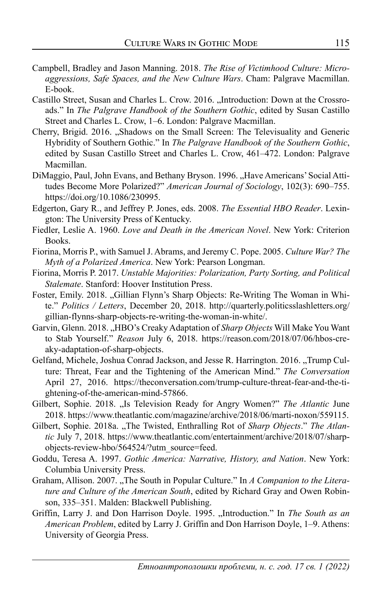- Campbell, Bradley and Jason Manning. 2018. *The Rise of Victimhood Culture: Microaggressions, Safe Spaces, and the New Culture Wars*. Cham: Palgrave Macmillan. E-book.
- Castillo Street, Susan and Charles L. Crow. 2016. "Introduction: Down at the Crossroads." In *The Palgrave Handbook of the Southern Gothic*, edited by Susan Castillo Street and Charles L. Crow, 1–6. London: Palgrave Macmillan.
- Cherry, Brigid. 2016. "Shadows on the Small Screen: The Televisuality and Generic Hybridity of Southern Gothic." In *The Palgrave Handbook of the Southern Gothic*, edited by Susan Castillo Street and Charles L. Crow, 461–472. London: Palgrave Macmillan.
- DiMaggio, Paul, John Evans, and Bethany Bryson. 1996. "Have Americans' Social Attitudes Become More Polarized?" *American Journal of Sociology*, 102(3): 690–755. https://doi.org/10.1086/230995.
- Edgerton, Gary R., and Jeffrey P. Jones, eds. 2008. *The Essential HBO Reader*. Lexington: The University Press of Kentucky.
- Fiedler, Leslie A. 1960. *Love and Death in the American Novel*. New York: Criterion Books.
- Fiorina, Morris P., with Samuel J. Abrams, and Jeremy C. Pope. 2005. *Culture War? The Myth of a Polarized America*. New York: Pearson Longman.
- Fiorina, Morris P. 2017. *Unstable Majorities: Polarization, Party Sorting, and Political Stalemate*. Stanford: Hoover Institution Press.
- Foster, Emily. 2018. "Gillian Flynn's Sharp Objects: Re-Writing The Woman in White." *Politics / Letters*, December 20, 2018. http://quarterly.politicsslashletters.org/ gillian-flynns-sharp-objects-re-writing-the-woman-in-white/.
- Garvin, Glenn. 2018. "HBO's Creaky Adaptation of *Sharp Objects* Will Make You Want to Stab Yourself." *Reason* July 6, 2018. https://reason.com/2018/07/06/hbos-creaky-adaptation-of-sharp-objects.
- Gelfand, Michele, Joshua Conrad Jackson, and Jesse R. Harrington. 2016. "Trump Culture: Threat, Fear and the Tightening of the American Mind." *The Conversation* April 27, 2016. https://theconversation.com/trump-culture-threat-fear-and-the-tightening-of-the-american-mind-57866.
- Gilbert, Sophie. 2018. "Is Television Ready for Angry Women?" *The Atlantic June* 2018. https://www.theatlantic.com/magazine/archive/2018/06/marti-noxon/559115.
- Gilbert, Sophie. 2018a. "The Twisted, Enthralling Rot of Sharp Objects." The Atlan*tic* July 7, 2018. https://www.theatlantic.com/entertainment/archive/2018/07/sharpobjects-review-hbo/564524/?utm\_source=feed.
- Goddu, Teresa A. 1997. *Gothic America: Narrative, History, and Nation*. New York: Columbia University Press.
- Graham, Allison. 2007. "The South in Popular Culture." In *A Companion to the Literature and Culture of the American South*, edited by Richard Gray and Owen Robinson, 335–351. Malden: Blackwell Publishing.
- Griffin, Larry J. and Don Harrison Doyle. 1995. "Introduction." In *The South as an American Problem*, edited by Larry J. Griffin and Don Harrison Doyle, 1–9. Athens: University of Georgia Press.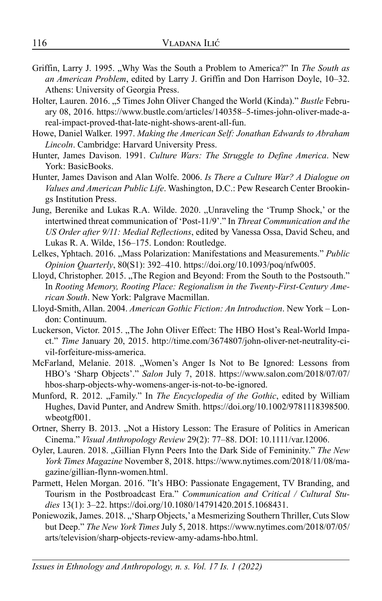- Griffin, Larry J. 1995. "Why Was the South a Problem to America?" In *The South as an American Problem*, edited by Larry J. Griffin and Don Harrison Doyle, 10–32. Athens: University of Georgia Press.
- Holter, Lauren. 2016. "5 Times John Oliver Changed the World (Kinda)." *Bustle* February 08, 2016. https://www.bustle.com/articles/140358–5-times-john-oliver-made-areal-impact-proved-that-late-night-shows-arent-all-fun.
- Howe, Daniel Walker. 1997. *Making the American Self: Jonathan Edwards to Abraham Lincoln*. Cambridge: Harvard University Press.
- Hunter, James Davison. 1991. *Culture Wars: The Struggle to Define America*. New York: BasicBooks.
- Hunter, James Davison and Alan Wolfe. 2006. *Is There a Culture War? A Dialogue on Values and American Public Life*. Washington, D.C.: Pew Research Center Brookings Institution Press.
- Jung, Berenike and Lukas R.A. Wilde. 2020. "Unraveling the 'Trump Shock,' or the intertwined threat communication of 'Post-11/9'." In *Threat Communication and the US Order after 9/11: Medial Reflections*, edited by Vanessa Ossa, David Scheu, and Lukas R. A. Wilde, 156–175. London: Routledge.
- Lelkes, Yphtach. 2016. "Mass Polarization: Manifestations and Measurements." *Public Opinion Quarterly*, 80(S1): 392–410. https://doi.org/10.1093/poq/nfw005.
- Lloyd, Christopher. 2015. "The Region and Beyond: From the South to the Postsouth." In *Rooting Memory, Rooting Place: Regionalism in the Twenty-First-Century American South*. New York: Palgrave Macmillan.
- Lloyd-Smith, Allan. 2004. *American Gothic Fiction: An Introduction*. New York London: Continuum.
- Luckerson, Victor. 2015. "The John Oliver Effect: The HBO Host's Real-World Impact." *Time* January 20, 2015. http://time.com/3674807/john-oliver-net-neutrality-civil-forfeiture-miss-america.
- McFarland, Melanie. 2018. "Women's Anger Is Not to Be Ignored: Lessons from HBO's 'Sharp Objects'." *Salon* July 7, 2018. https://www.salon.com/2018/07/07/ hbos-sharp-objects-why-womens-anger-is-not-to-be-ignored.
- Munford, R. 2012. "Family." In *The Encyclopedia of the Gothic*, edited by William Hughes, David Punter, and Andrew Smith. https://doi.org/10.1002/9781118398500. wbeotgf001.
- Ortner, Sherry B. 2013. "Not a History Lesson: The Erasure of Politics in American Cinema." *Visual Anthropology Review* 29(2): 77–88. DOI: 10.1111/var.12006.
- Oyler, Lauren. 2018. "Gillian Flynn Peers Into the Dark Side of Femininity." *The New York Times Magazine* November 8, 2018. https://www.nytimes.com/2018/11/08/magazine/gillian-flynn-women.html.
- Parmett, Helen Morgan. 2016. "It's HBO: Passionate Engagement, TV Branding, and Tourism in the Postbroadcast Era." *Communication and Critical / Cultural Studies* 13(1): 3–22. https://doi.org/10.1080/14791420.2015.1068431.
- Poniewozik, James. 2018. "'Sharp Objects,' a Mesmerizing Southern Thriller, Cuts Slow but Deep." *The New York Times* July 5, 2018. https://www.nytimes.com/2018/07/05/ arts/television/sharp-objects-review-amy-adams-hbo.html.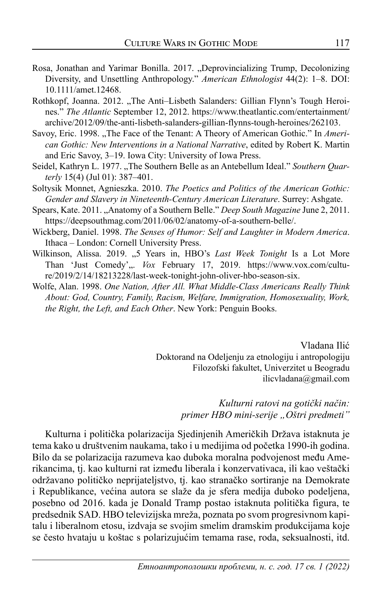- Rosa, Jonathan and Yarimar Bonilla. 2017. "Deprovincializing Trump, Decolonizing Diversity, and Unsettling Anthropology." *American Ethnologist* 44(2): 1–8. DOI: 10.1111/amet.12468.
- Rothkopf, Joanna. 2012. "The Anti-Lisbeth Salanders: Gillian Flynn's Tough Heroines." *The Atlantic* September 12, 2012. https://www.theatlantic.com/entertainment/ archive/2012/09/the-anti-lisbeth-salanders-gillian-flynns-tough-heroines/262103.
- Savoy, Eric. 1998. "The Face of the Tenant: A Theory of American Gothic." In *American Gothic: New Interventions in a National Narrative*, edited by Robert K. Martin and Eric Savoy, 3–19. Iowa City: University of Iowa Press.
- Seidel, Kathryn L. 1977. "The Southern Belle as an Antebellum Ideal." Southern Quar*terly* 15(4) (Jul 01): 387–401.
- Soltysik Monnet, Agnieszka. 2010. *The Poetics and Politics of the American Gothic: Gender and Slavery in Nineteenth-Century American Literature*. Surrey: Ashgate.
- Spears, Kate. 2011. "Anatomy of a Southern Belle." *Deep South Magazine* June 2, 2011. https://deepsouthmag.com/2011/06/02/anatomy-of-a-southern-belle/.
- Wickberg, Daniel. 1998. *The Senses of Humor: Self and Laughter in Modern America*. Ithaca – London: Cornell University Press.
- Wilkinson, Alissa. 2019. "5 Years in, HBO's *Last Week Tonight* Is a Lot More Than 'Just Comedy',.. *Vox* February 17, 2019. https://www.vox.com/culture/2019/2/14/18213228/last-week-tonight-john-oliver-hbo-season-six.
- Wolfe, Alan. 1998. *One Nation, After All. What Middle-Class Americans Really Think About: God, Country, Family, Racism, Welfare, Immigration, Homosexuality, Work, the Right, the Left, and Each Other*. New York: Penguin Books.

Vladana Ilić Doktorand na Odeljenju za etnologiju i antropologiju Filozofski fakultet, Univerzitet u Beogradu ilicvladana@gmail.com

> *Kulturni ratovi na gotički način: primer HBO mini-serije "Oštri predmeti"*

Kulturna i politička polarizacija Sjedinjenih Američkih Država istaknuta je tema kako u društvenim naukama, tako i u medijima od početka 1990-ih godina. Bilo da se polarizacija razumeva kao duboka moralna podvojenost među Amerikancima, tj. kao kulturni rat između liberala i konzervativaca, ili kao veštački održavano političko neprijateljstvo, tj. kao stranačko sortiranje na Demokrate i Republikance, većina autora se slaže da je sfera medija duboko podeljena, posebno od 2016. kada je Donald Tramp postao istaknuta politička figura, te predsednik SAD. HBO televizijska mreža, poznata po svom progresivnom kapitalu i liberalnom etosu, izdvaja se svojim smelim dramskim produkcijama koje se često hvataju u koštac s polarizujućim temama rase, roda, seksualnosti, itd.